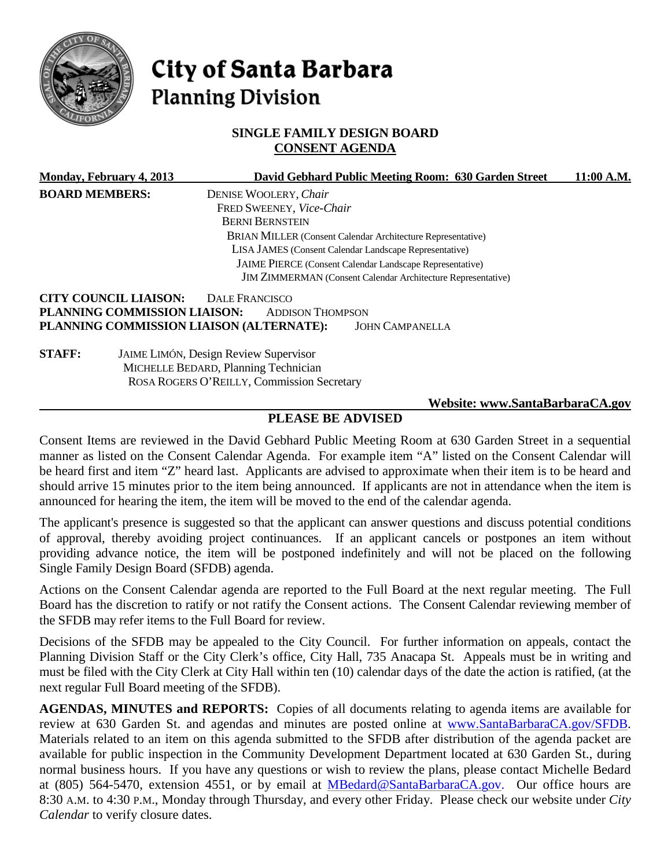

# City of Santa Barbara **Planning Division**

## **SINGLE FAMILY DESIGN BOARD CONSENT AGENDA**

|                       | <b>Monday, February 4, 2013</b>                                 | David Gebhard Public Meeting Room: 630 Garden Street                | 11:00 A.M. |
|-----------------------|-----------------------------------------------------------------|---------------------------------------------------------------------|------------|
| <b>BOARD MEMBERS:</b> |                                                                 | DENISE WOOLERY, Chair                                               |            |
|                       |                                                                 | FRED SWEENEY, Vice-Chair                                            |            |
|                       |                                                                 | <b>BERNI BERNSTEIN</b>                                              |            |
|                       |                                                                 | <b>BRIAN MILLER (Consent Calendar Architecture Representative)</b>  |            |
|                       |                                                                 | LISA JAMES (Consent Calendar Landscape Representative)              |            |
|                       | <b>JAIME PIERCE</b> (Consent Calendar Landscape Representative) |                                                                     |            |
|                       |                                                                 | <b>JIM ZIMMERMAN</b> (Consent Calendar Architecture Representative) |            |
|                       | <b>CITY COUNCIL LIAISON:</b>                                    | DALE FRANCISCO                                                      |            |
|                       | PLANNING COMMISSION LIAISON:                                    | <b>ADDISON THOMPSON</b>                                             |            |
|                       |                                                                 | PLANNING COMMISSION LIAISON (ALTERNATE):<br><b>JOHN CAMPANELLA</b>  |            |
| <b>STAFF:</b>         |                                                                 | <b>JAIME LIMÓN, Design Review Supervisor</b>                        |            |
|                       |                                                                 | MICHELLE BEDARD, Planning Technician                                |            |
|                       |                                                                 | ROSA ROGERS O'REILLY, Commission Secretary                          |            |
|                       |                                                                 | Website: www.SantaBarbaraCA.gov                                     |            |

## **PLEASE BE ADVISED**

Consent Items are reviewed in the David Gebhard Public Meeting Room at 630 Garden Street in a sequential manner as listed on the Consent Calendar Agenda. For example item "A" listed on the Consent Calendar will be heard first and item "Z" heard last. Applicants are advised to approximate when their item is to be heard and should arrive 15 minutes prior to the item being announced. If applicants are not in attendance when the item is announced for hearing the item, the item will be moved to the end of the calendar agenda.

The applicant's presence is suggested so that the applicant can answer questions and discuss potential conditions of approval, thereby avoiding project continuances. If an applicant cancels or postpones an item without providing advance notice, the item will be postponed indefinitely and will not be placed on the following Single Family Design Board (SFDB) agenda.

Actions on the Consent Calendar agenda are reported to the Full Board at the next regular meeting. The Full Board has the discretion to ratify or not ratify the Consent actions. The Consent Calendar reviewing member of the SFDB may refer items to the Full Board for review.

Decisions of the SFDB may be appealed to the City Council. For further information on appeals, contact the Planning Division Staff or the City Clerk's office, City Hall, 735 Anacapa St. Appeals must be in writing and must be filed with the City Clerk at City Hall within ten (10) calendar days of the date the action is ratified, (at the next regular Full Board meeting of the SFDB).

**AGENDAS, MINUTES and REPORTS:** Copies of all documents relating to agenda items are available for review at 630 Garden St. and agendas and minutes are posted online at [www.SantaBarbaraCA.gov/SFDB.](http://www.santabarbaraca.gov/SFDB) Materials related to an item on this agenda submitted to the SFDB after distribution of the agenda packet are available for public inspection in the Community Development Department located at 630 Garden St., during normal business hours. If you have any questions or wish to review the plans, please contact Michelle Bedard at (805) 564-5470, extension 4551, or by email at [MBedard@SantaBarbaraCA.gov.](mailto:MBedard@SantaBarbaraCA.gov) Our office hours are 8:30 A.M. to 4:30 P.M., Monday through Thursday, and every other Friday. Please check our website under *City Calendar* to verify closure dates.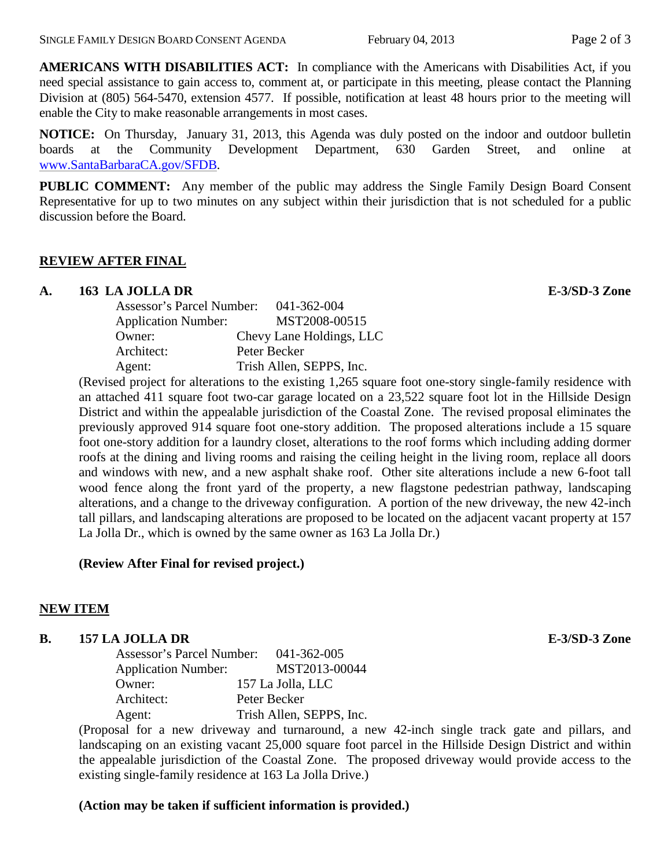**AMERICANS WITH DISABILITIES ACT:** In compliance with the Americans with Disabilities Act, if you need special assistance to gain access to, comment at, or participate in this meeting, please contact the Planning Division at (805) 564-5470, extension 4577. If possible, notification at least 48 hours prior to the meeting will enable the City to make reasonable arrangements in most cases.

**NOTICE:** On Thursday, January 31, 2013, this Agenda was duly posted on the indoor and outdoor bulletin boards at the Community Development Department, 630 Garden Street, and online at [www.SantaBarbaraCA.gov/SFDB.](http://www.santabarbaraca.gov/sfdb)

**PUBLIC COMMENT:** Any member of the public may address the Single Family Design Board Consent Representative for up to two minutes on any subject within their jurisdiction that is not scheduled for a public discussion before the Board.

#### **REVIEW AFTER FINAL**

#### **A. 163 LA JOLLA DR E-3/SD-3 Zone**

| Assessor's Parcel Number:  | 041-362-004              |
|----------------------------|--------------------------|
| <b>Application Number:</b> | MST2008-00515            |
| Owner:                     | Chevy Lane Holdings, LLC |
| Architect:                 | Peter Becker             |
| Agent:                     | Trish Allen, SEPPS, Inc. |

(Revised project for alterations to the existing 1,265 square foot one-story single-family residence with an attached 411 square foot two-car garage located on a 23,522 square foot lot in the Hillside Design District and within the appealable jurisdiction of the Coastal Zone. The revised proposal eliminates the previously approved 914 square foot one-story addition. The proposed alterations include a 15 square foot one-story addition for a laundry closet, alterations to the roof forms which including adding dormer roofs at the dining and living rooms and raising the ceiling height in the living room, replace all doors and windows with new, and a new asphalt shake roof. Other site alterations include a new 6-foot tall wood fence along the front yard of the property, a new flagstone pedestrian pathway, landscaping alterations, and a change to the driveway configuration. A portion of the new driveway, the new 42-inch tall pillars, and landscaping alterations are proposed to be located on the adjacent vacant property at 157 La Jolla Dr., which is owned by the same owner as 163 La Jolla Dr.)

#### **(Review After Final for revised project.)**

#### **NEW ITEM**

#### **B. 157 LA JOLLA DR E-3/SD-3 Zone**

Assessor's Parcel Number: 041-362-005 Application Number: MST2013-00044 Owner: 157 La Jolla, LLC Architect: Peter Becker Agent: Trish Allen, SEPPS, Inc.

(Proposal for a new driveway and turnaround, a new 42-inch single track gate and pillars, and landscaping on an existing vacant 25,000 square foot parcel in the Hillside Design District and within the appealable jurisdiction of the Coastal Zone. The proposed driveway would provide access to the existing single-family residence at 163 La Jolla Drive.)

#### **(Action may be taken if sufficient information is provided.)**